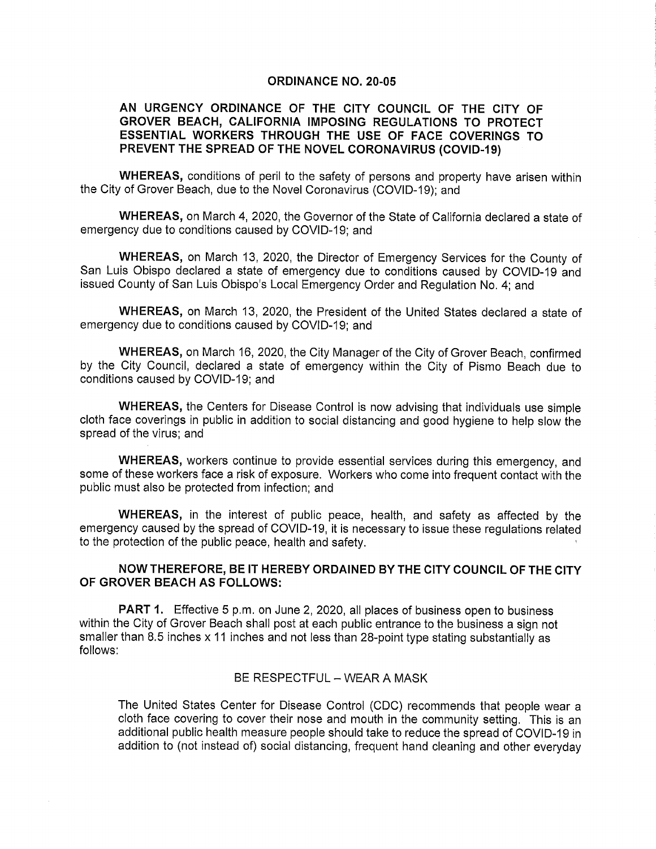### ORDINANCE N0. 20-05

# AN URGENCY ORDINANCE OF THE CITY COUNCIL OF THE CITY OF GROVER BEACH, CALIFORNIA IMPOSING REGuLATIONS TO PROTECT ESSENTIAL WORKERS THROUGH THE USE OF FACE COVERINGS TO PREVENT THE SPREAD OF THE NOVEL CORONAVIRUS (COVID-19)

WHEREAS, conditions of peril to the safety of persons and property have arisen within the City of Grover Beach, due to the Novel Coronavirus (COVID-19); and

WHEREAS, on March 4, 2020, the Governor of the State of California declared a state of emergency due to conditions caused by COVID-19; and

WHEREAS, on March 13, 2020, the Director of Emergency Services for the County of San Luis Obispo declared a state of emergency due to conditions caused by COVID-19 and issued County of San Luis Obispo's Local Emergency Order and Regulation No. 4; and

WHEREAS, on March 13, 2020, the President of the United States declared a state of emergency due to conditions caused by COVID-19; and

WHEREAS, on March 16, 2020, the City Manager of the City of Grover Beach, confirmed by the City Council, declared a state of emergency within the City of Pismo Beach due to conditions caused by COVID-19; and

WHEREAS, the Centers for Disease Control is now advising that individuals use simple cloth face coverings in public in addition to social distancing and good hygiene to help slow the spread of the virus; and

WHEREAS, workers continue to provide essential services during this emergency, and some of these workers face a risk of exposure. Workers who come into frequent contact with the public must also be protected from infection; and

WHEREAS, in the interest of public peace, health, and safety as affected by the emergency caused by the spread of COVID-19, it is necessary to issue these regulations related to the protection of the public peace, health and safety.

# NOW THEREFORE, BE IT HEREBY ORDAINED BY THE CITY COUNCIL OF THE CITY OF GROVER BEACH AS FOLLOWS:

PART 1. Effective 5 p.m. on June 2, 2020, all places of business open to business within the City of Grover Beach shall post at each public entrance to the business a sign not smaller than 8.5 inches x 14 inches and not less than 28-point type stating substantially as follows:

### BE RESPECTFUL - WEAR A MASK

The United States Center for Disease Control (CDC) recommends that people wear a cloth face covering to cover their nose and mouth in the community setting. This is an additional public health measure people should take to reduce the spread of COVID-19in addition to (not instead of) social distancing, frequent hand cleaning and other everyday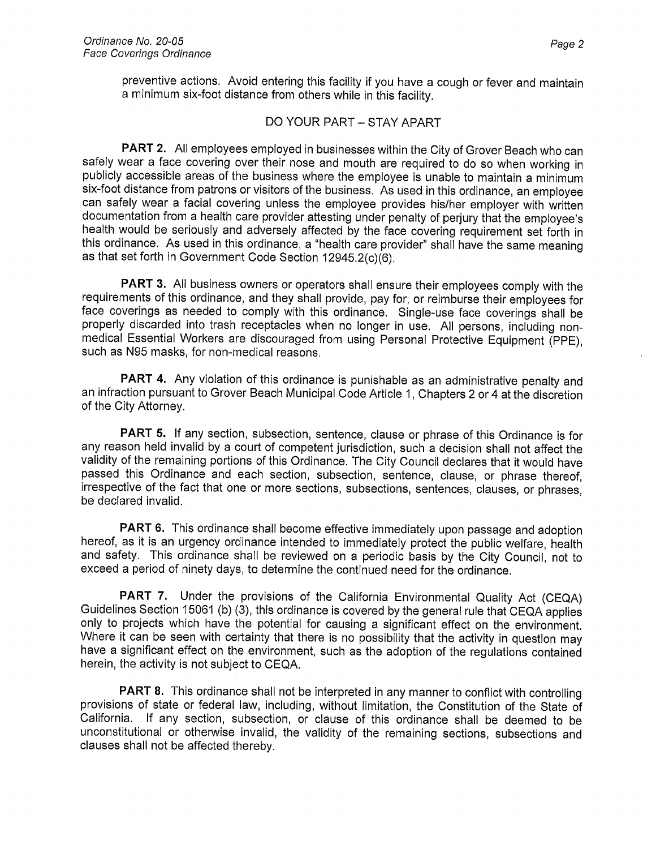preventive actions. Avoid entering this facility if you have a cough or fever and maintain a minimum six-foot distance from others while in this facility.

### DO YOUR PART - STAY APART

PART 2. All employees employed in businesses within the City of Grover Beach who can safely wear a face covering over their nose and mouth are required to do so when working in publicly accessible areas of the business where the employee is unable to maintain a minimum six-foot distance from patrons or visitors of the business. As used in this ordinance, an employee can safely wear a facial covering unless the employee provides his/her employer with written documentation from a health care provider attesting under penalty of perjury that the employee's health would be seriously and adversely affected by the face covering requirement set forth in this ordinance. As used in this ordinance, a "health care provider" shall have the same meaning as that set forth in Government Code Section 12945.2(c)(6).

PART 3. All business owners or operators shall ensure their employees comply with the requirements of this ordinance, and they shall provide, pay for, or reimburse their employees for face coverings as needed to comply with this ordinance. Single-use face coverings shall be properly discarded into trash receptacles when no longer in use. All persons, including nonmedical Essential Workers are discouraged from using Personal Protective Equipment (PPE), such as N95 masks, for non-medical reasons.

PART 4. Any violation of this ordinance is punishable as an administrative penalty and an infraction pursuant to Grover Beach Municipal Code Article 1, Chapters 2 or 4 at the discretion of the City Attorney.

PART 5. If any section, subsection, sentence, clause or phrase of this Ordinance is for any reason held invalid by a court of competent jurisdiction, such a decision shall not affect the validity of the remaining portions of this Ordinance. The City Council declares that it would have passed this Ordinance and each section, subsection, sentence, clause, or phrase thereof, irrespective of the fact that one or more sections, subsections, sentences, clauses, or phrases, be declared invalid.

PART 6. This ordinance shall become effective immediately upon passage and adoption hereof, as it is an urgency ordinance intended to immediately protect the public welfare, health and safety. This ordinance shall be reviewed on a periodic basis by the City Council, not to exceed a period of ninety days, to determine the continued need for the ordinance.

PART 7. Under the provisions of the California Environmental Quality Act (CEQA) Guidelines Section 15061 (b) (3), this ordinance is covered by the general rule that CEQA applies only to projects which have the potential for causing a significant effect on the environment. Where it can be seen with certainty that there is no possibility that the activity in question may have a significant effect on the environment, such as the adoption of the regulations contained herein, the activity is not subject to CEQA.

PART 8. This ordinance shall not be interpreted in any manner to conflict with controlling provisions of state or federal law, including, without limitation, the Constitution of the State of California. If any section, subsection, or clause of this ordinance shall be deemed to be unconstitutional or otherwise invalid, the validity of the remaining sections, subsections and clauses shall not be affected thereby.